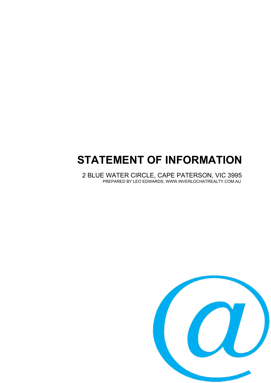# **STATEMENT OF INFORMATION**

2 BLUE WATER CIRCLE, CAPE PATERSON, VIC 3995 PREPARED BY LEO EDWARDS, WWW.INVERLOCHATREALTY.COM.AU